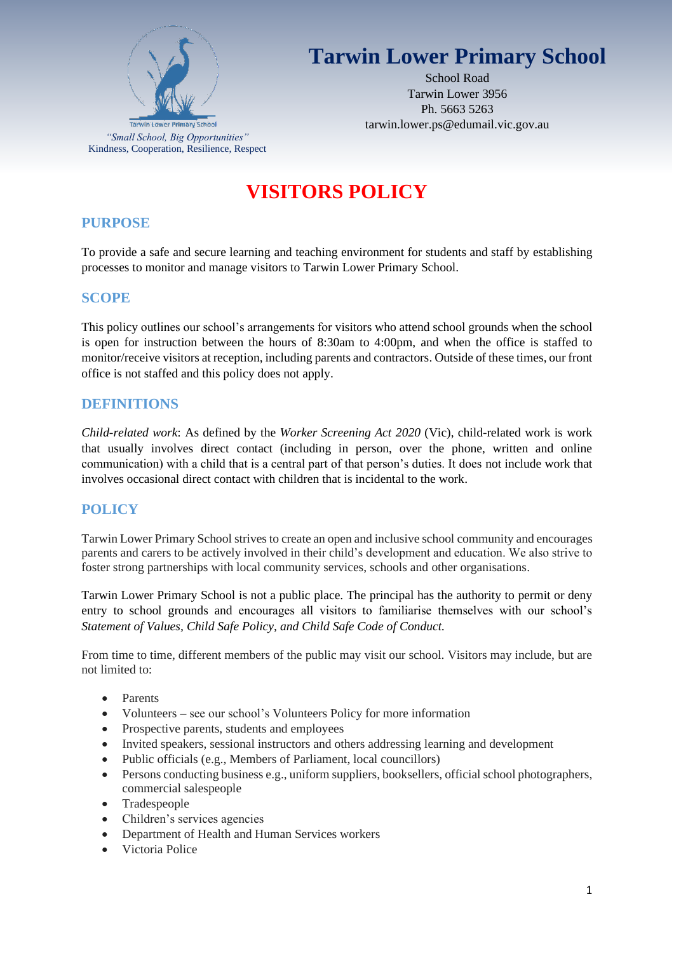

# **Tarwin Lower Primary School**

School Road Tarwin Lower 3956 Ph. 5663 5263 tarwin.lower.ps@edumail.vic.gov.au

# **VISITORS POLICY**

## **PURPOSE**

To provide a safe and secure learning and teaching environment for students and staff by establishing processes to monitor and manage visitors to Tarwin Lower Primary School.

## **SCOPE**

This policy outlines our school's arrangements for visitors who attend school grounds when the school is open for instruction between the hours of 8:30am to 4:00pm, and when the office is staffed to monitor/receive visitors at reception, including parents and contractors. Outside of these times, our front office is not staffed and this policy does not apply.

## **DEFINITIONS**

*Child-related work*: As defined by the *Worker Screening Act 2020* (Vic), child-related work is work that usually involves direct contact (including in person, over the phone, written and online communication) with a child that is a central part of that person's duties. It does not include work that involves occasional direct contact with children that is incidental to the work.

# **POLICY**

Tarwin Lower Primary School strives to create an open and inclusive school community and encourages parents and carers to be actively involved in their child's development and education. We also strive to foster strong partnerships with local community services, schools and other organisations.

Tarwin Lower Primary School is not a public place. The principal has the authority to permit or deny entry to school grounds and encourages all visitors to familiarise themselves with our school's *Statement of Values, Child Safe Policy, and Child Safe Code of Conduct.*

From time to time, different members of the public may visit our school. Visitors may include, but are not limited to:

- Parents
- Volunteers see our school's Volunteers Policy for more information
- Prospective parents, students and employees
- Invited speakers, sessional instructors and others addressing learning and development
- Public officials (e.g., Members of Parliament, local councillors)
- Persons conducting business e.g., uniform suppliers, booksellers, official school photographers, commercial salespeople
- Tradespeople
- Children's services agencies
- Department of Health and Human Services workers
- Victoria Police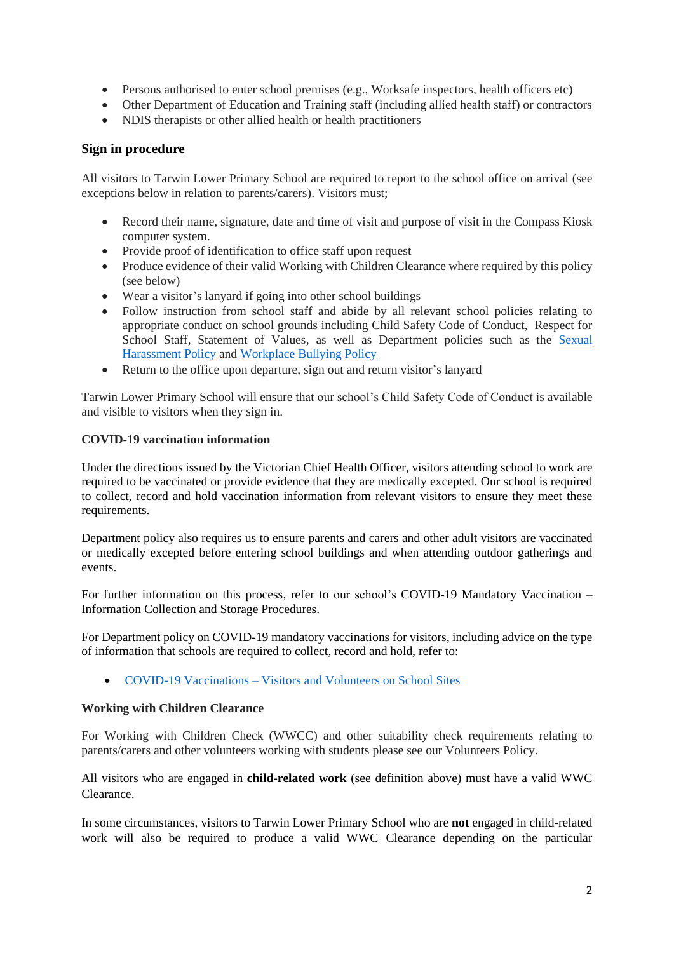- Persons authorised to enter school premises (e.g., Worksafe inspectors, health officers etc)
- Other Department of Education and Training staff (including allied health staff) or contractors
- NDIS therapists or other allied health or health practitioners

#### **Sign in procedure**

All visitors to Tarwin Lower Primary School are required to report to the school office on arrival (see exceptions below in relation to parents/carers). Visitors must;

- Record their name, signature, date and time of visit and purpose of visit in the Compass Kiosk computer system.
- Provide proof of identification to office staff upon request
- Produce evidence of their valid Working with Children Clearance where required by this policy (see below)
- Wear a visitor's lanyard if going into other school buildings
- Follow instruction from school staff and abide by all relevant school policies relating to appropriate conduct on school grounds including Child Safety Code of Conduct, Respect for School Staff, Statement of Values, as well as Department policies such as the [Sexual](https://www2.education.vic.gov.au/pal/sexual-harassment/overview)  [Harassment Policy](https://www2.education.vic.gov.au/pal/sexual-harassment/overview) and [Workplace Bullying Policy](https://www2.education.vic.gov.au/pal/workplace-bullying/policy)
- Return to the office upon departure, sign out and return visitor's lanyard

Tarwin Lower Primary School will ensure that our school's Child Safety Code of Conduct is available and visible to visitors when they sign in.

#### **COVID-19 vaccination information**

Under the directions issued by the Victorian Chief Health Officer, visitors attending school to work are required to be vaccinated or provide evidence that they are medically excepted. Our school is required to collect, record and hold vaccination information from relevant visitors to ensure they meet these requirements.

Department policy also requires us to ensure parents and carers and other adult visitors are vaccinated or medically excepted before entering school buildings and when attending outdoor gatherings and events.

For further information on this process, refer to our school's COVID-19 Mandatory Vaccination – Information Collection and Storage Procedures.

For Department policy on COVID-19 mandatory vaccinations for visitors, including advice on the type of information that schools are required to collect, record and hold, refer to:

• COVID-19 Vaccinations – [Visitors and Volunteers on School Sites](https://www2.education.vic.gov.au/pal/covid-19-vaccinations-visitors-volunteers/policy)

#### **Working with Children Clearance**

For Working with Children Check (WWCC) and other suitability check requirements relating to parents/carers and other volunteers working with students please see our Volunteers Policy.

All visitors who are engaged in **child-related work** (see definition above) must have a valid WWC Clearance.

In some circumstances, visitors to Tarwin Lower Primary School who are **not** engaged in child-related work will also be required to produce a valid WWC Clearance depending on the particular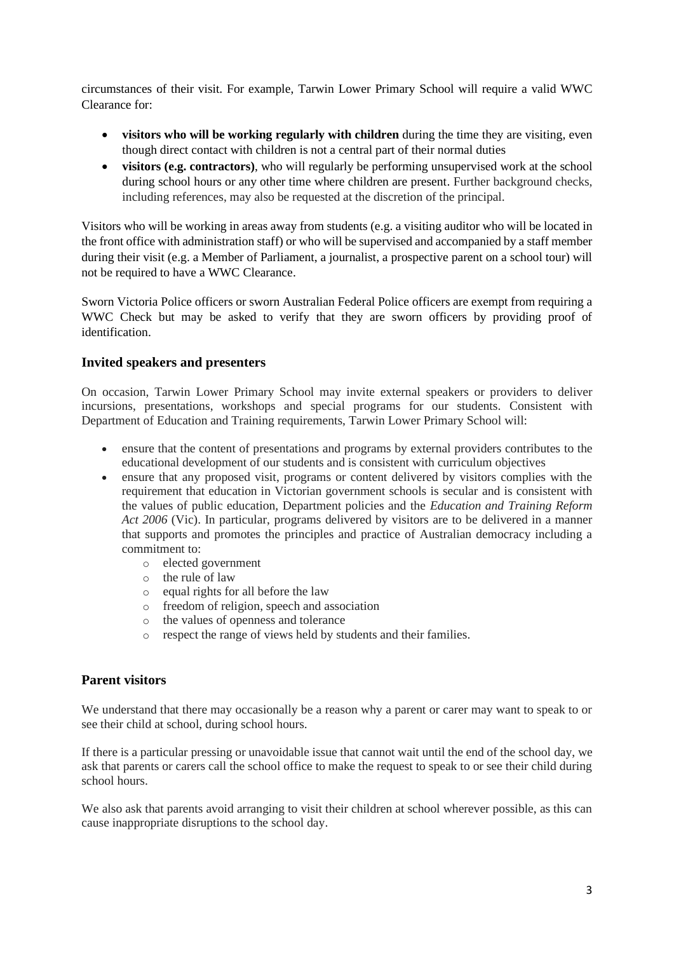circumstances of their visit. For example, Tarwin Lower Primary School will require a valid WWC Clearance for:

- **visitors who will be working regularly with children** during the time they are visiting, even though direct contact with children is not a central part of their normal duties
- **visitors (e.g. contractors)**, who will regularly be performing unsupervised work at the school during school hours or any other time where children are present. Further background checks, including references, may also be requested at the discretion of the principal.

Visitors who will be working in areas away from students (e.g. a visiting auditor who will be located in the front office with administration staff) or who will be supervised and accompanied by a staff member during their visit (e.g. a Member of Parliament, a journalist, a prospective parent on a school tour) will not be required to have a WWC Clearance.

Sworn Victoria Police officers or sworn Australian Federal Police officers are exempt from requiring a WWC Check but may be asked to verify that they are sworn officers by providing proof of identification.

#### **Invited speakers and presenters**

On occasion, Tarwin Lower Primary School may invite external speakers or providers to deliver incursions, presentations, workshops and special programs for our students. Consistent with Department of Education and Training requirements, Tarwin Lower Primary School will:

- ensure that the content of presentations and programs by external providers contributes to the educational development of our students and is consistent with curriculum objectives
- ensure that any proposed visit, programs or content delivered by visitors complies with the requirement that education in Victorian government schools is secular and is consistent with the values of public education, Department policies and the *Education and Training Reform Act 2006* (Vic). In particular, programs delivered by visitors are to be delivered in a manner that supports and promotes the principles and practice of Australian democracy including a commitment to:
	- o elected government
	- o the rule of law
	- o equal rights for all before the law
	- o freedom of religion, speech and association
	- o the values of openness and tolerance
	- o respect the range of views held by students and their families.

## **Parent visitors**

We understand that there may occasionally be a reason why a parent or carer may want to speak to or see their child at school, during school hours.

If there is a particular pressing or unavoidable issue that cannot wait until the end of the school day, we ask that parents or carers call the school office to make the request to speak to or see their child during school hours.

We also ask that parents avoid arranging to visit their children at school wherever possible, as this can cause inappropriate disruptions to the school day.